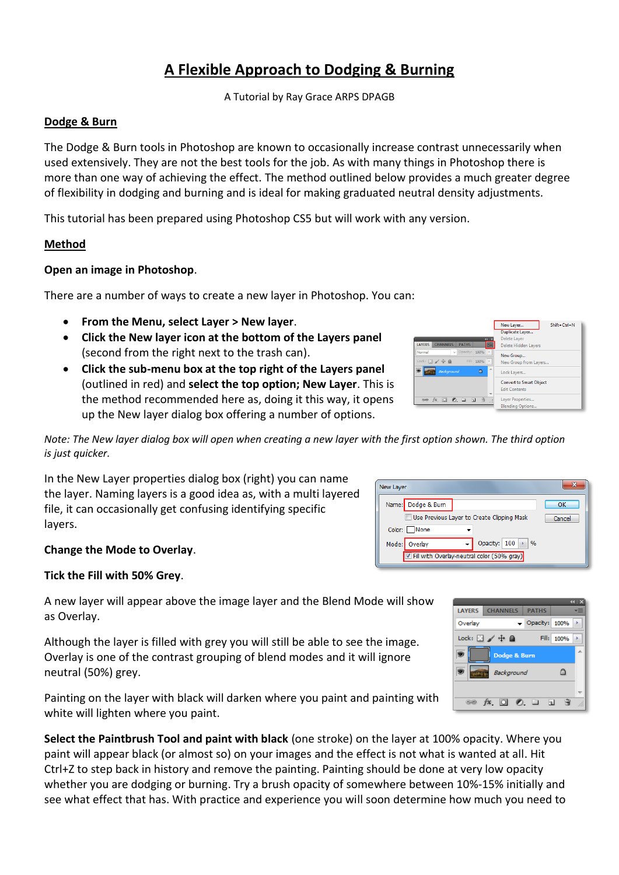# **A Flexible Approach to Dodging & Burning**

A Tutorial by Ray Grace ARPS DPAGB

#### **Dodge & Burn**

The Dodge & Burn tools in Photoshop are known to occasionally increase contrast unnecessarily when used extensively. They are not the best tools for the job. As with many things in Photoshop there is more than one way of achieving the effect. The method outlined below provides a much greater degree of flexibility in dodging and burning and is ideal for making graduated neutral density adjustments.

This tutorial has been prepared using Photoshop CS5 but will work with any version.

## **Method**

#### **Open an image in Photoshop**.

There are a number of ways to create a new layer in Photoshop. You can:

- **From the Menu, select Layer > New layer**.
- **Click the New layer icon at the bottom of the Layers panel** (second from the right next to the trash can).
- **Click the sub-menu box at the top right of the Layers panel** (outlined in red) and **select the top option; New Layer**. This is the method recommended here as, doing it this way, it opens up the New layer dialog box offering a number of options.



*Note: The New layer dialog box will open when creating a new layer with the first option shown. The third option is just quicker.*

In the New Layer properties dialog box (right) you can name the layer. Naming layers is a good idea as, with a multi layered file, it can occasionally get confusing identifying specific layers.

## **Change the Mode to Overlay**.

#### **Tick the Fill with 50% Grey**.

A new layer will appear above the image layer and the Blend Mode will show as Overlay.

Although the layer is filled with grey you will still be able to see the image. Overlay is one of the contrast grouping of blend modes and it will ignore neutral (50%) grey.

Painting on the layer with black will darken where you paint and painting with white will lighten where you paint.

**Select the Paintbrush Tool and paint with black** (one stroke) on the layer at 100% opacity. Where you paint will appear black (or almost so) on your images and the effect is not what is wanted at all. Hit Ctrl+Z to step back in history and remove the painting. Painting should be done at very low opacity whether you are dodging or burning. Try a brush opacity of somewhere between 10%-15% initially and see what effect that has. With practice and experience you will soon determine how much you need to

| New Layer                                         |        |
|---------------------------------------------------|--------|
| Name: Dodge & Burn                                | ок     |
| Use Previous Layer to Create Clipping Mask        | Cancel |
| Color: None                                       |        |
| Opacity: 100<br>$\frac{9}{6}$<br>Overlav<br>Mode: |        |
| Fill with Overlay-neutral color (50% gray)        |        |

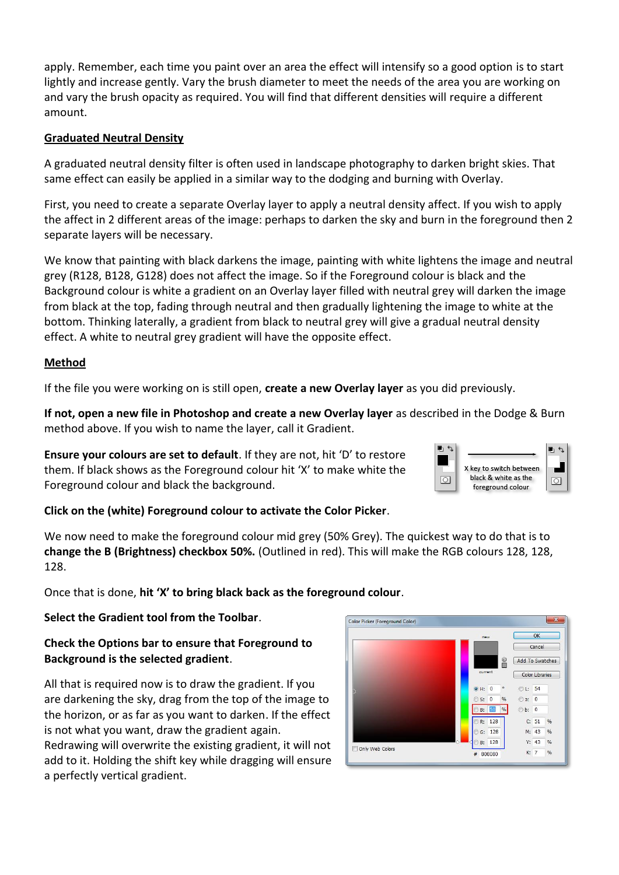apply. Remember, each time you paint over an area the effect will intensify so a good option is to start lightly and increase gently. Vary the brush diameter to meet the needs of the area you are working on and vary the brush opacity as required. You will find that different densities will require a different amount.

# **Graduated Neutral Density**

A graduated neutral density filter is often used in landscape photography to darken bright skies. That same effect can easily be applied in a similar way to the dodging and burning with Overlay.

First, you need to create a separate Overlay layer to apply a neutral density affect. If you wish to apply the affect in 2 different areas of the image: perhaps to darken the sky and burn in the foreground then 2 separate layers will be necessary.

We know that painting with black darkens the image, painting with white lightens the image and neutral grey (R128, B128, G128) does not affect the image. So if the Foreground colour is black and the Background colour is white a gradient on an Overlay layer filled with neutral grey will darken the image from black at the top, fading through neutral and then gradually lightening the image to white at the bottom. Thinking laterally, a gradient from black to neutral grey will give a gradual neutral density effect. A white to neutral grey gradient will have the opposite effect.

## **Method**

If the file you were working on is still open, **create a new Overlay layer** as you did previously.

**If not, open a new file in Photoshop and create a new Overlay layer** as described in the Dodge & Burn method above. If you wish to name the layer, call it Gradient.

**Ensure your colours are set to default**. If they are not, hit 'D' to restore them. If black shows as the Foreground colour hit 'X' to make white the Foreground colour and black the background.

| X key to switch between<br>black & white as the<br>foreground colour |  |
|----------------------------------------------------------------------|--|

## **Click on the (white) Foreground colour to activate the Color Picker**.

We now need to make the foreground colour mid grey (50% Grey). The quickest way to do that is to **change the B (Brightness) checkbox 50%.** (Outlined in red). This will make the RGB colours 128, 128, 128.

Once that is done, **hit 'X' to bring black back as the foreground colour**.

# **Select the Gradient tool from the Toolbar**.

# **Check the Options bar to ensure that Foreground to Background is the selected gradient**.

All that is required now is to draw the gradient. If you are darkening the sky, drag from the top of the image to the horizon, or as far as you want to darken. If the effect is not what you want, draw the gradient again. Redrawing will overwrite the existing gradient, it will not add to it. Holding the shift key while dragging will ensure a perfectly vertical gradient.